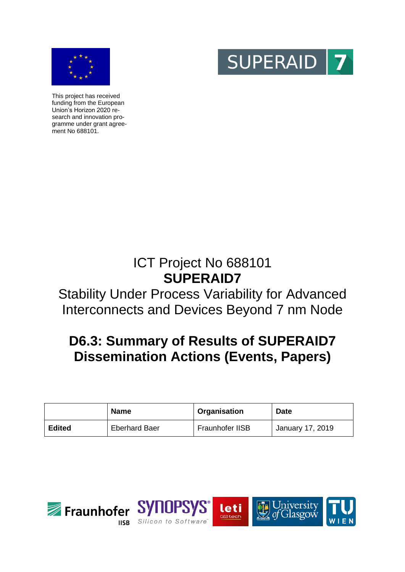



**SUPERAID** 

This project has received funding from the European Union's Horizon 2020 research and innovation programme under grant agreement No 688101.

# ICT Project No 688101 **SUPERAID7**

# Stability Under Process Variability for Advanced Interconnects and Devices Beyond 7 nm Node

# **D6.3: Summary of Results of SUPERAID7 Dissemination Actions (Events, Papers)**

|               | <b>Name</b>          | Organisation    | <b>Date</b>      |
|---------------|----------------------|-----------------|------------------|
| <b>Edited</b> | <b>Eberhard Baer</b> | Fraunhofer IISB | January 17, 2019 |



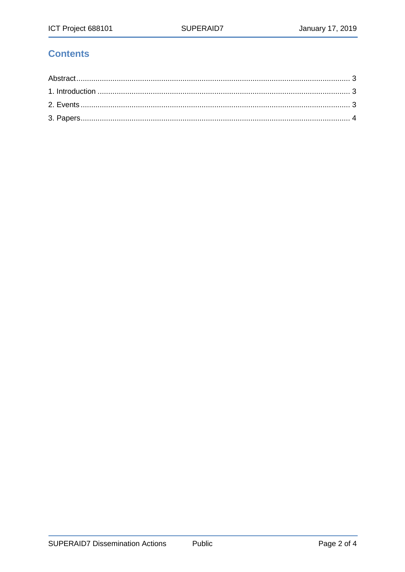# **Contents**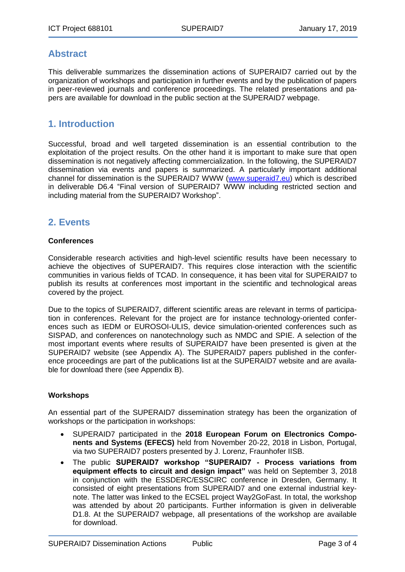## <span id="page-2-0"></span>**Abstract**

This deliverable summarizes the dissemination actions of SUPERAID7 carried out by the organization of workshops and participation in further events and by the publication of papers in peer-reviewed journals and conference proceedings. The related presentations and papers are available for download in the public section at the SUPERAID7 webpage.

## <span id="page-2-1"></span>**1. Introduction**

Successful, broad and well targeted dissemination is an essential contribution to the exploitation of the project results. On the other hand it is important to make sure that open dissemination is not negatively affecting commercialization. In the following, the SUPERAID7 dissemination via events and papers is summarized. A particularly important additional channel for dissemination is the SUPERAID7 WWW [\(www.superaid7.eu\)](http://www.superaid7.eu/) which is described in deliverable D6.4 "Final version of SUPERAID7 WWW including restricted section and including material from the SUPERAID7 Workshop".

## <span id="page-2-2"></span>**2. Events**

### **Conferences**

Considerable research activities and high-level scientific results have been necessary to achieve the objectives of SUPERAID7. This requires close interaction with the scientific communities in various fields of TCAD. In consequence, it has been vital for SUPERAID7 to publish its results at conferences most important in the scientific and technological areas covered by the project.

Due to the topics of SUPERAID7, different scientific areas are relevant in terms of participation in conferences. Relevant for the project are for instance technology-oriented conferences such as IEDM or EUROSOI-ULIS, device simulation-oriented conferences such as SISPAD, and conferences on nanotechnology such as NMDC and SPIE. A selection of the most important events where results of SUPERAID7 have been presented is given at the SUPERAID7 website (see Appendix A). The SUPERAID7 papers published in the conference proceedings are part of the publications list at the SUPERAID7 website and are available for download there (see Appendix B).

### **Workshops**

An essential part of the SUPERAID7 dissemination strategy has been the organization of workshops or the participation in workshops:

- SUPERAID7 participated in the **2018 European Forum on Electronics Components and Systems (EFECS)** held from November 20-22, 2018 in Lisbon, Portugal, via two SUPERAID7 posters presented by J. Lorenz, Fraunhofer IISB.
- The public **SUPERAID7 workshop "SUPERAID7 - Process variations from equipment effects to circuit and design impact"** was held on September 3, 2018 in conjunction with the ESSDERC/ESSCIRC conference in Dresden, Germany. It consisted of eight presentations from SUPERAID7 and one external industrial keynote. The latter was linked to the ECSEL project Way2GoFast. In total, the workshop was attended by about 20 participants. Further information is given in deliverable D1.8. At the SUPERAID7 webpage, all presentations of the workshop are available for download.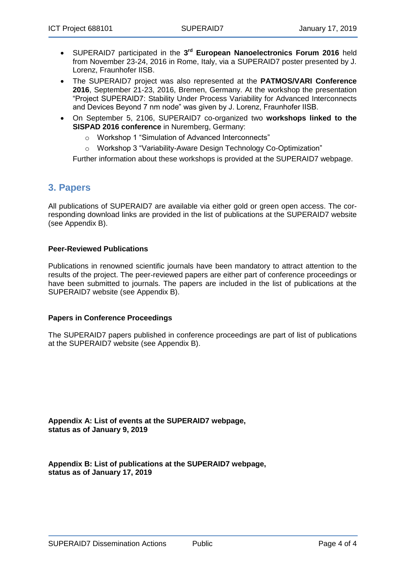- SUPERAID7 participated in the **3 rd European Nanoelectronics Forum 2016** held from November 23-24, 2016 in Rome, Italy, via a SUPERAID7 poster presented by J. Lorenz, Fraunhofer IISB.
- The SUPERAID7 project was also represented at the **PATMOS/VARI Conference 2016**, September 21-23, 2016, Bremen, Germany. At the workshop the presentation "Project SUPERAID7: Stability Under Process Variability for Advanced Interconnects and Devices Beyond 7 nm node" was given by J. Lorenz, Fraunhofer IISB.
- On September 5, 2106, SUPERAID7 co-organized two **workshops linked to the SISPAD 2016 conference** in Nuremberg, Germany:
	- o Workshop 1 "Simulation of Advanced Interconnects"
	- o Workshop 3 "Variability-Aware Design Technology Co-Optimization"

Further information about these workshops is provided at the SUPERAID7 webpage.

## <span id="page-3-0"></span>**3. Papers**

All publications of SUPERAID7 are available via either gold or green open access. The corresponding download links are provided in the list of publications at the SUPERAID7 website (see Appendix B).

### **Peer-Reviewed Publications**

Publications in renowned scientific journals have been mandatory to attract attention to the results of the project. The peer-reviewed papers are either part of conference proceedings or have been submitted to journals. The papers are included in the list of publications at the SUPERAID7 website (see Appendix B).

### **Papers in Conference Proceedings**

The SUPERAID7 papers published in conference proceedings are part of list of publications at the SUPERAID7 website (see Appendix B).

**Appendix A: List of events at the SUPERAID7 webpage, status as of January 9, 2019**

**Appendix B: List of publications at the SUPERAID7 webpage, status as of January 17, 2019**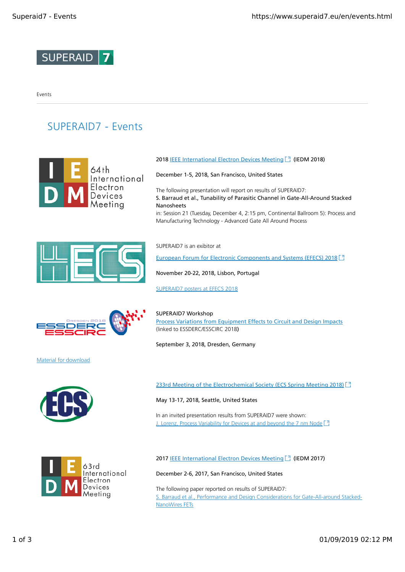

Events

# SUPERAID7 - Events









Material for download





### 2018 **IEEE International Electron Devices Meeting [7]** (IEDM 2018)

December 1-5, 2018, San Francisco, United States

The following presentation will report on results of SUPERAID7: S. Barraud et al., Tunability of Parasitic Channel in Gate-All-Around Stacked Nanosheets in: Session 21 (Tuesday, December 4, 2:15 pm, Continental Ballroom 5): Process and Manufacturing Technology - Advanced Gate All Around Process

SUPERAID7 is an exibitor at

European Forum for Electronic Components and Systems (EFECS) 2018 [7]

November 20-22, 2018, Lisbon, Portugal

SUPERAID7 posters at EFECS 2018



SUPERAID7 Workshop Process Variations from Equipment Effects to Circuit and Design Impacts (linked to ESSDERC/ESSCIRC 2018)

September 3, 2018, Dresden, Germany

233rd Meeting of the Electrochemical Society (ECS Spring Meeting 2018) [3]

May 13-17, 2018, Seattle, United States

In an invited presentation results from SUPERAID7 were shown: J. Lorenz, Process Variability for Devices at and beyond the 7 nm Node [7]

2017 IEEE International Electron Devices Meeting<sup>7</sup> (IEDM 2017)

December 2-6, 2017, San Francisco, United States

The following paper reported on results of SUPERAID7: S. Barraud et al., Performance and Design Considerations for Gate-All-around Stacked-NanoWires FETs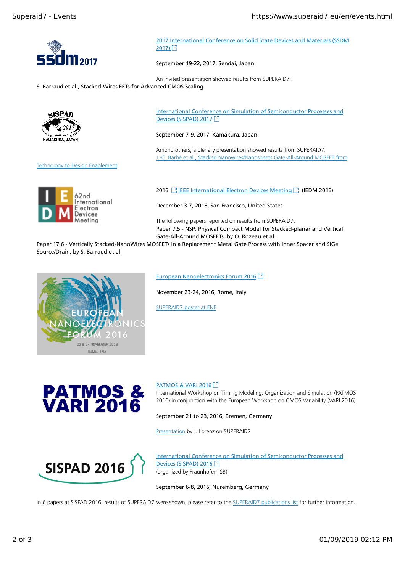

2017 International Conference on Solid State Devices and Materials (SSDM 2017) [각

September 19-22, 2017, Sendai, Japan

An invited presentation showed results from SUPERAID7:

S. Barraud et al., Stacked-Wires FETs for Advanced CMOS Scaling



Technology to Design Enablement



International Conference on Simulation of Semiconductor Processes and Devices (SISPAD) 2017 [7]

September 7-9, 2017, Kamakura, Japan

Among others, a plenary presentation showed results from SUPERAID7: J.-C. Barbé et al., Stacked Nanowires/Nanosheets Gate-All-Around MOSFET from

2016 <sup>1</sup> IEEE International Electron Devices Meeting<sup>1</sup> (IEDM 2016)

December 3-7, 2016, San Francisco, United States

The following papers reported on results from SUPERAID7: Paper 7.5 - NSP: Physical Compact Model for Stacked-planar and Vertical Gate-All-Around MOSFETs, by O. Rozeau et al.

Paper 17.6 - Vertically Stacked-NanoWires MOSFETs in a Replacement Metal Gate Process with Inner Spacer and SiGe Source/Drain, by S. Barraud et al.



European Nanoelectronics Forum 2016<sup>[3]</sup>

November 23-24, 2016, Rome, Italy

SUPERAID7 poster at ENF



PATMOS & VARI 2016 [7]

International Workshop on Timing Modeling, Organization and Simulation (PATMOS 2016) in conjunction with the European Workshop on CMOS Variability (VARI 2016)

September 21 to 23, 2016, Bremen, Germany

Presentation by J. Lorenz on SUPERAID7



International Conference on Simulation of Semiconductor Processes and Devices (SISPAD) 2016 [3] (organized by Fraunhofer IISB)

September 6-8, 2016, Nuremberg, Germany

In 6 papers at SISPAD 2016, results of SUPERAID7 were shown, please refer to the SUPERAID7 publications list for further information.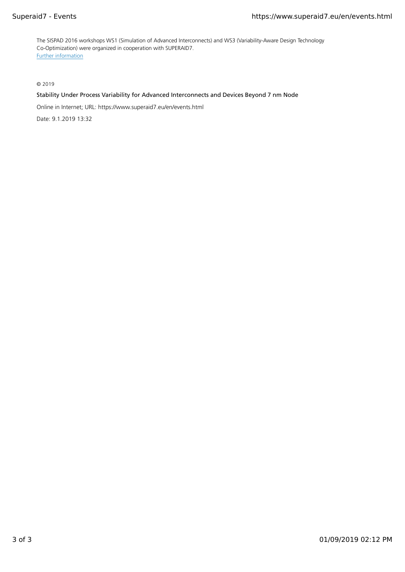The SISPAD 2016 workshops WS1 (Simulation of Advanced Interconnects) and WS3 (Variability-Aware Design Technology Co-Optimization) were organized in cooperation with SUPERAID7. Further information

© 2019

### Stability Under Process Variability for Advanced Interconnects and Devices Beyond 7 nm Node

Online in Internet; URL: https://www.superaid7.eu/en/events.html

Date: 9.1.2019 13:32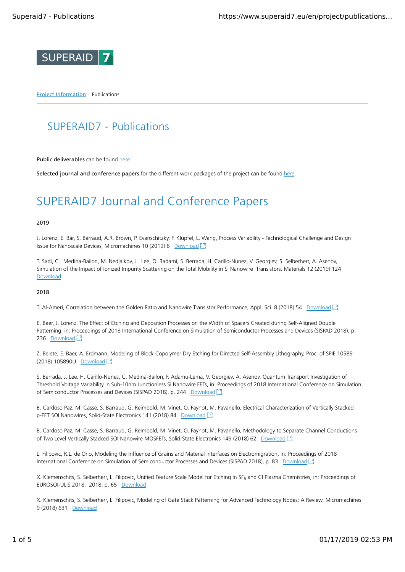

Project Information . Publications

# SUPERAID7 - Publications

Public deliverables can be found here

Selected journal and conference papers for the different work packages of the project can be found here.

# SUPERAID7 Journal and Conference Papers

### 2019

J. Lorenz, E. Bär, S. Barraud, A.R. Brown, P. Evanschitzky, F. Klüpfel, L. Wang, Process Variability - Technological Challenge and Design Issue for Nanoscale Devices, Micromachines 10 (2019) 6 Download <sup>[3]</sup>

T. Sadi, C. Medina-Bailon, M. Nedjalkov, J. Lee, O. Badami, S. Berrada, H. Carillo-Nunez, V. Georgiev, S. Selberherr, A. Asenov, Simulation of the Impact of Ionized Impurity Scattering on the Total Mobility in Si Nanowire Transistors, Materials 12 (2019) 124 **Download** 

### 2018

T. Al-Ameri, Correlation between the Golden Ratio and Nanowire Transistor Performance, Appl. Sci. 8 (2018) 54 Download [3]

E. Baer, J. Lorenz, The Effect of Etching and Deposition Processes on the Width of Spacers Created during Self-Aligned Double Patterning, in: Proceedings of 2018 International Conference on Simulation of Semiconductor Processes and Devices (SISPAD 2018), p. 236 Download<sup>[3</sup>]

Z. Belete, E. Baer, A. Erdmann, Modeling of Block Copolymer Dry Etching for Directed Self-Assembly Lithography, Proc. of SPIE 10589 (2018) 105890U Download [7]

S. Berrada, J. Lee, H. Carillo-Nunes, C. Medina-Bailon, F. Adamu-Lema, V. Georgiev, A. Asenov, Quantum Transport Investigation of Threshold Voltage Variability in Sub-10nm Junctionless Si Nanowire FETs, in: Proceedings of 2018 International Conference on Simulation of Semiconductor Processes and Devices (SISPAD 2018), p. 244 Download <sup>3</sup>

B. Cardoso Paz, M. Casse, S. Barraud, G. Reimbold, M. Vinet, O. Faynot, M. Pavanello, Electrical Characterization of Vertically Stacked p-FET SOI Nanowires, Solid-State Electronics 141 (2018) 84 Download [7]

B. Cardoso Paz, M. Casse, S. Barraud, G. Reimbold, M. Vinet, O. Faynot, M. Pavanello, Methodology to Separate Channel Conductions of Two Level Vertically Stacked SOI Nanowire MOSFETs, Solid-State Electronics 149 (2018) 62 Download [7]

L. Filipovic, R.L. de Orio, Modeling the Influence of Grains and Material Interfaces on Electromigration, in: Proceedings of 2018 International Conference on Simulation of Semiconductor Processes and Devices (SISPAD 2018), p. 83 Download [7]

X. Klemenschits, S. Selberherr, L. Filipovic, Unified Feature Scale Model for Etching in SF<sub>6</sub> and Cl Plasma Chemistries, in: Proceedings of EUROSOI-ULIS 2018, 2018, p. 65 Download

X. Klemenschits, S. Selberherr, L. Filipovic, Modeling of Gate Stack Patterning for Advanced Technology Nodes: A Review, Micromachines 9 (2018) 631 Download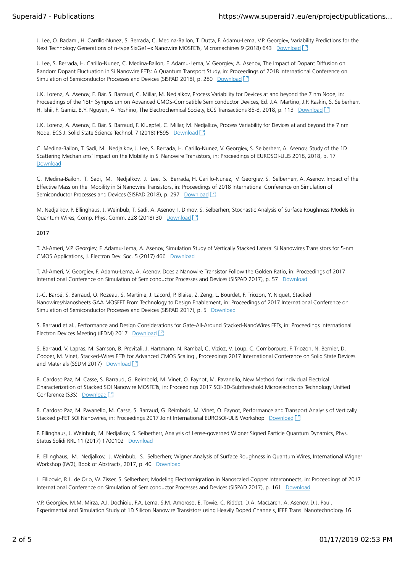J. Lee, O. Badami, H. Carrillo-Nunez, S. Berrada, C. Medina-Bailon, T. Dutta, F. Adamu-Lema, V.P. Georgiev, Variability Predictions for the Next Technology Generations of n-type SixGe1−x Nanowire MOSFETs, Micromachines 9 (2018) 643 Download [<sup>7</sup>]

J. Lee, S. Berrada, H. Carillo-Nunez, C. Medina-Bailon, F. Adamu-Lema, V. Georgiev, A. Asenov, The Impact of Dopant Diffusion on Random Dopant Fluctuation in Si Nanowire FETs: A Quantum Transport Study, in: Proceedings of 2018 International Conference on Simulation of Semiconductor Processes and Devices (SISPAD 2018), p. 280 Download <sup>3</sup>

J.K. Lorenz, A. Asenov, E. Bär, S. Barraud, C. Millar, M. Nedjalkov, Process Variability for Devices at and beyond the 7 nm Node, in: Proceedings of the 18th Symposium on Advanced CMOS-Compatible Semiconductor Devices, Ed. J.A. Martino, J.P. Raskin, S. Selberherr, H. Ishii, F. Gamiz, B.Y. Nguyen, A. Yoshino, The Electrochemical Society, ECS Transactions 85-8, 2018, p. 113 Download [3]

J.K. Lorenz, A. Asenov, E. Bär, S. Barraud, F. Kluepfel, C. Millar, M. Nedjalkov, Process Variability for Devices at and beyond the 7 nm Node, ECS J. Solid State Science Technol. 7 (2018) P595 Download [3]

C. Medina-Bailon, T. Sadi, M. Nedjalkov, J. Lee, S. Berrada, H. Carillo-Nunez, V. Georgiev, S. Selberherr, A. Asenov, Study of the 1D Scattering Mechanisms´ Impact on the Mobility in Si Nanowire Transistors, in: Proceedings of EUROSOI-ULIS 2018, 2018, p. 17 Download

C. Medina-Bailon, T. Sadi, M. Nedjalkov, J. Lee, S. Berrada, H. Carillo-Nunez, V. Georgiev, S. Selberherr, A. Asenov, Impact of the Effective Mass on the Mobility in Si Nanowire Transistors, in: Proceedings of 2018 International Conference on Simulation of Semiconductor Processes and Devices (SISPAD 2018), p. 297 Download [3]

M. Nedjalkov, P. Ellinghaus, J. Weinbub, T. Sadi, A. Asenov, I. Dimov, S. Selberherr, Stochastic Analysis of Surface Roughness Models in Quantum Wires, Comp. Phys. Comm. 228 (2018) 30 Download [7]

### 2017

T. Al-Ameri, V.P. Georgiev, F. Adamu-Lema, A. Asenov, Simulation Study of Vertically Stacked Lateral Si Nanowires Transistors for 5-nm CMOS Applications, J. Electron Dev. Soc. 5 (2017) 466 Download

T. Al-Ameri, V. Georgiev, F. Adamu-Lema, A. Asenov, Does a Nanowire Transistor Follow the Golden Ratio, in: Proceedings of 2017 International Conference on Simulation of Semiconductor Processes and Devices (SISPAD 2017), p. 57 Download

J.-C. Barbé, S. Barraud, O. Rozeau, S. Martinie, J. Lacord, P. Blaise, Z. Zeng, L. Bourdet, F. Triozon, Y. Niquet, Stacked Nanowires/Nanosheets GAA MOSFET From Technology to Design Enablement, in: Proceedings of 2017 International Conference on Simulation of Semiconductor Processes and Devices (SISPAD 2017), p. 5 Download

S. Barraud et al., Performance and Design Considerations for Gate-All-Around Stacked-NanoWires FETs, in: Proceedings International Electron Devices Meeting (IEDM) 2017 Download <sup>[3]</sup>

S. Barraud, V. Lapras, M. Samson, B. Previtali, J. Hartmann, N. Rambal, C. Vizioz, V. Loup, C. Comboroure, F. Triozon, N. Bernier, D. Cooper, M. Vinet, Stacked-Wires FETs for Advanced CMOS Scaling , Proceedings 2017 International Conference on Solid State Devices and Materials (SSDM 2017) Download [7]

B. Cardoso Paz, M. Casse, S. Barraud, G. Reimbold, M. Vinet, O. Faynot, M. Pavanello, New Method for Individual Electrical Characterization of Stacked SOI Nanowire MOSFETs, in: Proceedings 2017 SOI-3D-Subthreshold Microelectronics Technology Unified Conference (S3S) Download<sup>[3</sup>

B. Cardoso Paz, M. Pavanello, M. Casse, S. Barraud, G. Reimbold, M. Vinet, O. Faynot, Performance and Transport Analysis of Vertically Stacked p-FET SOI Nanowires, in: Proceedings 2017 Joint International EUROSOI-ULIS Workshop Download [7]

P. Ellinghaus, J. Weinbub, M. Nedjalkov, S. Selberherr, Analysis of Lense-governed Wigner Signed Particle Quantum Dynamics, Phys. Status Solidi RRL 11 (2017) 1700102 Download

P. Ellinghaus, M. Nedjalkov, J. Weinbub, S. Selberherr, Wigner Analysis of Surface Roughness in Quantum Wires, International Wigner Workshop (IW2), Book of Abstracts, 2017, p. 40 Download

L. Filipovic, R.L. de Orio, W. Zisser, S. Selberherr, Modeling Electromigration in Nanoscaled Copper Interconnects, in: Proceedings of 2017 International Conference on Simulation of Semiconductor Processes and Devices (SISPAD 2017), p. 161 Download

V.P. Georgiev, M.M. Mirza, A.I. Dochioiu, F.A. Lema, S.M. Amoroso, E. Towie, C. Riddet, D.A. MacLaren, A. Asenov, D.J. Paul, Experimental and Simulation Study of 1D Silicon Nanowire Transistors using Heavily Doped Channels, IEEE Trans. Nanotechnology 16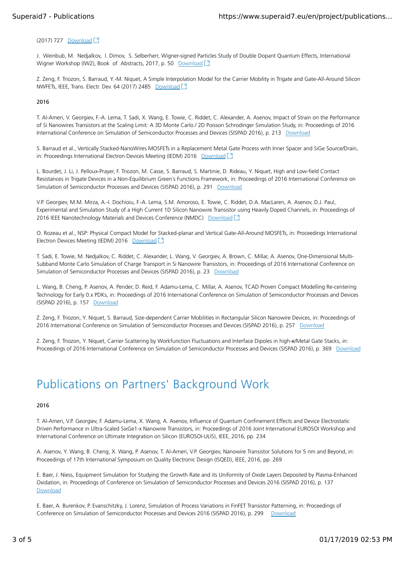### (2017) 727 Download

J. Weinbub, M. Nedjalkov, I. Dimov, S. Selberherr, Wigner-signed Particles Study of Double Dopant Quantum Effects, International Wigner Workshop (IW2), Book of Abstracts, 2017, p. 50 Download [3]

Z. Zeng, F. Triozon, S. Barraud, Y.-M. Niquet, A Simple Interpolation Model for the Carrier Mobility in Trigate and Gate-All-Around Silicon NWFETs, IEEE, Trans. Electr. Dev. 64 (2017) 2485 Download [7]

### 2016

T. Al-Ameri, V. Georgiev, F.-A. Lema, T. Sadi, X. Wang, E. Towie, C. Riddet, C. Alexander, A. Asenov, Impact of Strain on the Performance of Si Nanowires Transistors at the Scaling Limit: A 3D Monte Carlo / 2D Poisson Schrodinger Simulation Study, in: Proceedings of 2016 International Conference on Simulation of Semiconductor Processes and Devices (SISPAD 2016), p. 213 Download

S. Barraud et al., Vertically Stacked-NanoWires MOSFETs in a Replacement Metal Gate Process with Inner Spacer and SiGe Source/Drain, in: Proceedings International Electron Devices Meeting (IEDM) 2016 Download [3]

L. Bourdet, J. Li, J. Pelloux-Prayer, F. Triozon, M. Casse, S. Barraud, S. Martinie, D. Rideau, Y. Niquet, High and Low-field Contact Resistances in Trigate Devices in a Non-Equilibrium Green´s Functions Framework, in: Proceedings of 2016 International Conference on Simulation of Semiconductor Processes and Devices (SISPAD 2016), p. 291 Download

V.P. Georgiev, M.M. Mirza, A.-I. Dochioiu, F.-A. Lema, S.M. Amoroso, E. Towie, C. Riddet, D.A. MacLaren, A. Asenov, D.J. Paul, Experimental and Simulation Study of a High Current 1D Silicon Nanowire Transistor using Heavily Doped Channels, in: Proceedings of 2016 IEEE Nanotechnology Materials and Devices Conference (NMDC) Download [3]

O. Rozeau et al., NSP: Physical Compact Model for Stacked-planar and Vertical Gate-All-Around MOSFETs, in: Proceedings International Electron Devices Meeting (IEDM) 2016 Download [7]

T. Sadi, E. Towie, M. Nedjalkov, C. Riddet, C. Alexander, L. Wang, V. Georgiev, A. Brown, C. Millar, A. Asenov, One-Dimensional Multi-Subband Monte Carlo Simulation of Charge Transport in Si Nanowire Transistors, in: Proceedings of 2016 International Conference on Simulation of Semiconductor Processes and Devices (SISPAD 2016), p. 23 Download

L. Wang, B. Cheng, P. Asenov, A. Pender, D. Reid, F. Adamu-Lema, C. Millar, A. Asenov, TCAD Proven Compact Modelling Re-centering Technology for Early 0.x PDKs, in: Proceedings of 2016 International Conference on Simulation of Semiconductor Processes and Devices (SISPAD 2016), p. 157 Download

Z. Zeng, F. Triozon, Y. Niquet, S. Barraud, Size-dependent Carrier Mobilities in Rectangular Silicon Nanowire Devices, in: Proceedings of 2016 International Conference on Simulation of Semiconductor Processes and Devices (SISPAD 2016), p. 257 Download

Z. Zeng, F. Triozon, Y. Niquet, Carrier Scattering by Workfunction Fluctuations and Interface Dipoles in high-κ/Metal Gate Stacks, in: Proceedings of 2016 International Conference on Simulation of Semiconductor Processes and Devices (SISPAD 2016), p. 369 Download

# Publications on Partners' Background Work

### 2016

T. Al-Ameri, V.P. Georgiev, F. Adamu-Lema, X. Wang, A. Asenov, Influence of Quantum Confinement Effects and Device Electrostatic Driven Performance in Ultra-Scaled SixGe1-x Nanowire Transistors, in: Proceedings of 2016 Joint International EUROSOI Workshop and International Conference on Ultimate Integration on Silicon (EUROSOI-ULIS), IEEE, 2016, pp. 234

A. Asenov, Y. Wang, B. Cheng, X. Wang, P. Asenov, T. Al-Ameri, V.P. Georgiev, Nanowire Transistor Solutions for 5 nm and Beyond, in: Proceedings of 17th International Symposium on Quality Electronic Design (ISQED), IEEE, 2016, pp. 269

E. Baer, J. Niess, Equipment Simulation for Studying the Growth Rate and its Uniformity of Oxide Layers Deposited by Plasma-Enhanced Oxidation, in: Proceedings of Conference on Simulation of Semiconductor Processes and Devices 2016 (SISPAD 2016), p. 137 Download

E. Baer, A. Burenkov, P. Evanschitzky, J. Lorenz, Simulation of Process Variations in FinFET Transistor Patterning, in: Proceedings of Conference on Simulation of Semiconductor Processes and Devices 2016 (SISPAD 2016), p. 299 Download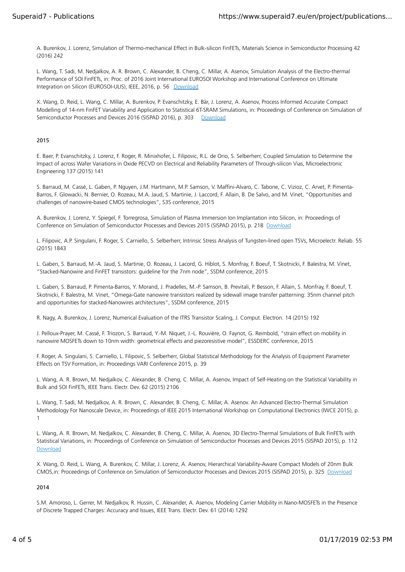A. Burenkov, J. Lorenz, Simulation of Thermo-mechanical Effect in Bulk-silicon FinFETs, Materials Science in Semiconductor Processing 42 (2016) 242

L. Wang, T. Sadi, M. Nedjalkov, A. R. Brown, C. Alexander, B. Cheng, C. Millar, A. Asenov, Simulation Analysis of the Electro-thermal Performance of SOI FinFETs, in: Proc. of 2016 Joint International EUROSOI Workshop and International Conference on Ultimate Integration on Silicon (EUROSOI-ULIS), IEEE, 2016, p. 56 Download

X. Wang, D. Reid, L. Wang, C. Millar, A. Burenkov, P. Evanschitzky, E. Bär, J. Lorenz, A. Asenov, Process Informed Accurate Compact Modelling of 14-nm FinFET Variability and Application to Statistical 6T-SRAM Simulations, in: Proceedings of Conference on Simulation of Semiconductor Processes and Devices 2016 (SISPAD 2016), p. 303 Download

### 2015

E. Baer, P. Evanschitzky, J. Lorenz, F. Roger, R. Minixhofer, L. Filipovic, R.L. de Orio, S. Selberherr, Coupled Simulation to Determine the Impact of across Wafer Variations in Oxide PECVD on Electrical and Reliability Parameters of Through-silicon Vias, Microelectronic Engineering 137 (2015) 141

S. Barraud, M. Cassé, L. Gaben, P. Nguyen, J.M. Hartmann, M.P. Samson, V. Maffini-Alvaro, C. Tabone, C. Vizioz, C. Arvet, P. Pimenta-Barros, F. Glowacki, N. Bernier, O. Rozeau, M.A. Jaud, S. Martinie, J. Laccord, F. Allain, B. De Salvo, and M. Vinet, "Opportunities and challenges of nanowire-based CMOS technologies", S3S conference, 2015

A. Burenkov, J. Lorenz, Y. Spiegel, F. Torregrosa, Simulation of Plasma Immersion Ion Implantation into Silicon, in: Proceedings of Conference on Simulation of Semiconductor Processes and Devices 2015 (SISPAD 2015), p. 218 Download

L. Filipovic, A.P. Singulani, F. Roger, S. Carniello, S. Selberherr, Intrinsic Stress Analysis of Tungsten-lined open TSVs, Microelectr. Reliab. 55 (2015) 1843

L. Gaben, S. Barraud, M.-A. Jaud, S. Martinie, O. Rozeau, J. Lacord, G. Hiblot, S. Monfray, F. Boeuf, T. Skotnicki, F. Balestra, M. Vinet, "Stacked-Nanowire and FinFET transistors: guideline for the 7nm node", SSDM conference, 2015

L. Gaben, S. Barraud, P. Pimenta-Barros, Y. Morand, J. Pradelles, M.-P. Samson, B. Previtali, P. Besson, F. Allain, S. Monfray, F. Boeuf, T. Skotnicki, F. Balestra, M. Vinet, "Omega-Gate nanowire transistors realized by sidewall image transfer patterning: 35nm channel pitch and opportunities for stacked-Nanowires architectures", SSDM conference, 2015

R. Nagy, A. Burenkov, J. Lorenz, Numerical Evaluation of the ITRS Transistor Scaling, J. Comput. Electron. 14 (2015) 192

J. Pelloux-Prayer, M. Cassé, F. Triozon, S. Barraud, Y.-M. Niquet, J.-L. Rouvière, O. Faynot, G. Reimbold, "strain effect on mobility in nanowire MOSFETs down to 10nm width: geometrical effects and piezoresistive model", ESSDERC conference, 2015

F. Roger, A. Singulani, S. Carniello, L. Filipovic, S. Selberherr, Global Statistical Methodology for the Analysis of Equipment Parameter Effects on TSV Formation, in: Proceedings VARI Conference 2015, p. 39

L. Wang, A. R. Brown, M. Nedjalkov, C. Alexander, B. Cheng, C. Millar, A. Asenov, Impact of Self-Heating on the Statistical Variability in Bulk and SOI FinFETs, IEEE Trans. Electr. Dev. 62 (2015) 2106

L. Wang, T. Sadi, M. Nedjalkov, A. R. Brown, C. Alexander, B. Cheng, C. Millar, A. Asenov. An Advanced Electro-Thermal Simulation Methodology For Nanoscale Device, in: Proceedings of IEEE 2015 International Workshop on Computational Electronics (IWCE 2015), p. 1

L. Wang, A. R. Brown, M. Nedjalkov, C. Alexander, B. Cheng, C. Millar, A. Asenov, 3D Electro-Thermal Simulations of Bulk FinFETs with Statistical Variations, in: Proceedings of Conference on Simulation of Semiconductor Processes and Devices 2015 (SISPAD 2015), p. 112 Download

X. Wang, D. Reid, L. Wang, A. Burenkov, C. Millar, J. Lorenz, A. Asenov, Hierarchical Variability-Aware Compact Models of 20nm Bulk CMOS,in: Proceedings of Conference on Simulation of Semiconductor Processes and Devices 2015 (SISPAD 2015), p. 325 Download

2014

S.M. Amoroso, L. Gerrer, M. Nedjalkov, R. Hussin, C. Alexander, A. Asenov, Modeling Carrier Mobility in Nano-MOSFETs in the Presence of Discrete Trapped Charges: Accuracy and Issues, IEEE Trans. Electr. Dev. 61 (2014) 1292